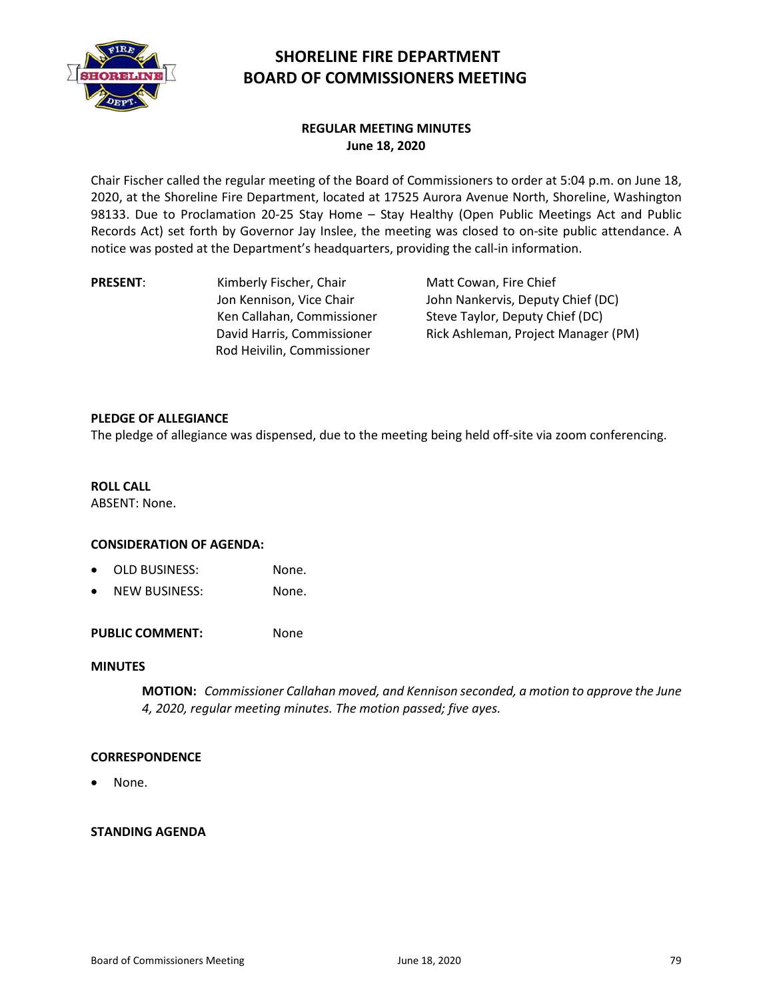

# **SHORELINE FIRE DEPARTMENT BOARD OF COMMISSIONERS MEETING**

## **REGULAR MEETING MINUTES June 18, 2020**

Chair Fischer called the regular meeting of the Board of Commissioners to order at 5:04 p.m. on June 18, 2020, at the Shoreline Fire Department, located at 17525 Aurora Avenue North, Shoreline, Washington 98133. Due to Proclamation 20-25 Stay Home – Stay Healthy (Open Public Meetings Act and Public Records Act) set forth by Governor Jay Inslee, the meeting was closed to on-site public attendance. A notice was posted at the Department's headquarters, providing the call-in information.

**PRESENT:** Kimberly Fischer, Chair Jon Kennison, Vice Chair Ken Callahan, Commissioner David Harris, Commissioner Rod Heivilin, Commissioner

Matt Cowan, Fire Chief John Nankervis, Deputy Chief (DC) Steve Taylor, Deputy Chief (DC) Rick Ashleman, Project Manager (PM)

## **PLEDGE OF ALLEGIANCE**

The pledge of allegiance was dispensed, due to the meeting being held off-site via zoom conferencing.

## **ROLL CALL**

ABSENT: None.

## **CONSIDERATION OF AGENDA:**

- OLD BUSINESS: None.
- NEW BUSINESS: None.

PUBLIC COMMENT: None

## **MINUTES**

**MOTION:** *Commissioner Callahan moved, and Kennison seconded, a motion to approve the June 4, 2020, regular meeting minutes. The motion passed; five ayes.*

## **CORRESPONDENCE**

• None.

## **STANDING AGENDA**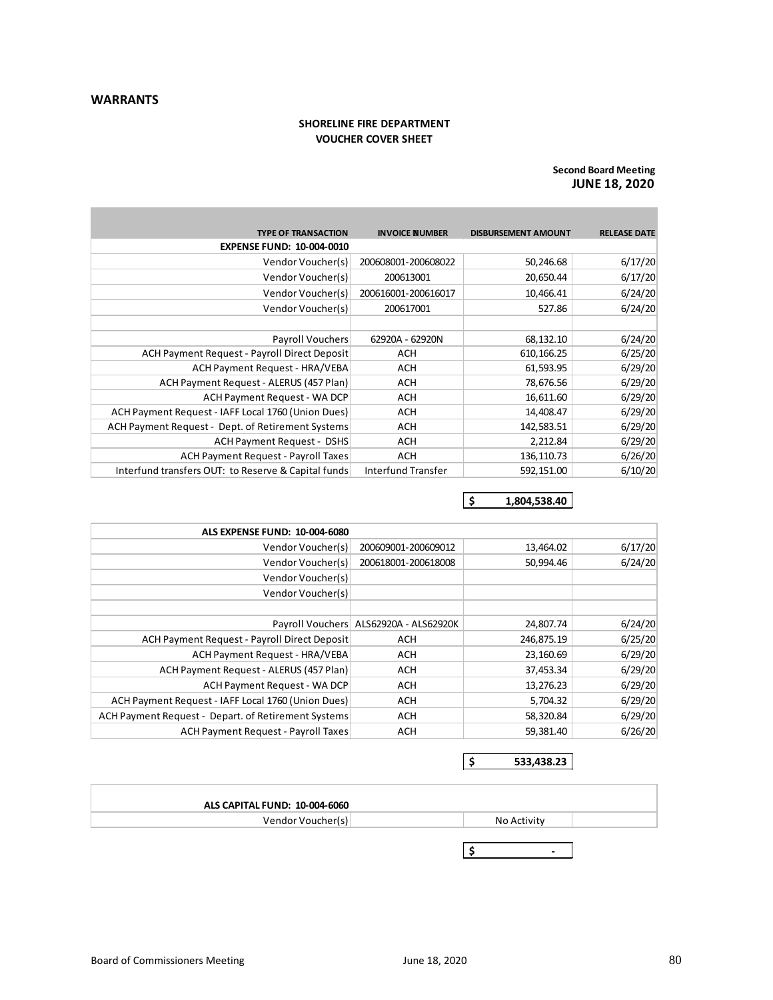**The State** 

#### **SHORELINE FIRE DEPARTMENT VOUCHER COVER SHEET**

#### **JUNE 18, 2020 Second Board Meeting**

÷

| <b>TYPE OF TRANSACTION</b>                          | <b>INVOICE NUMBER</b> | <b>DISBURSEMENT AMOUNT</b> | <b>RELEASE DATE</b> |
|-----------------------------------------------------|-----------------------|----------------------------|---------------------|
| <b>EXPENSE FUND: 10-004-0010</b>                    |                       |                            |                     |
| Vendor Voucher(s)                                   | 200608001-200608022   | 50,246.68                  | 6/17/20             |
| Vendor Voucher(s)                                   | 200613001             | 20,650.44                  | 6/17/20             |
| Vendor Voucher(s)                                   | 200616001-200616017   | 10,466.41                  | 6/24/20             |
| Vendor Voucher(s)                                   | 200617001             | 527.86                     | 6/24/20             |
|                                                     |                       |                            |                     |
| <b>Payroll Vouchers</b>                             | 62920A - 62920N       | 68,132.10                  | 6/24/20             |
| ACH Payment Request - Payroll Direct Deposit        | <b>ACH</b>            | 610,166.25                 | 6/25/20             |
| ACH Payment Request - HRA/VEBA                      | <b>ACH</b>            | 61,593.95                  | 6/29/20             |
| ACH Payment Request - ALERUS (457 Plan)             | <b>ACH</b>            | 78,676.56                  | 6/29/20             |
| ACH Payment Request - WA DCP                        | <b>ACH</b>            | 16,611.60                  | 6/29/20             |
| ACH Payment Request - IAFF Local 1760 (Union Dues)  | <b>ACH</b>            | 14,408.47                  | 6/29/20             |
| ACH Payment Request - Dept. of Retirement Systems   | <b>ACH</b>            | 142,583.51                 | 6/29/20             |
| <b>ACH Payment Request - DSHS</b>                   | <b>ACH</b>            | 2,212.84                   | 6/29/20             |
| <b>ACH Payment Request - Payroll Taxes</b>          | <b>ACH</b>            | 136,110.73                 | 6/26/20             |
| Interfund transfers OUT: to Reserve & Capital funds | Interfund Transfer    | 592,151.00                 | 6/10/20             |

**\$ 1,804,538.40**

| <b>ALS EXPENSE FUND: 10-004-6080</b>                |                                          |            |         |
|-----------------------------------------------------|------------------------------------------|------------|---------|
| Vendor Voucher(s)                                   | 200609001-200609012                      | 13,464.02  | 6/17/20 |
| Vendor Voucher(s)                                   | 200618001-200618008                      | 50,994.46  | 6/24/20 |
| Vendor Voucher(s)                                   |                                          |            |         |
| Vendor Voucher(s)                                   |                                          |            |         |
|                                                     |                                          |            |         |
|                                                     | Payroll Vouchers   ALS62920A - ALS62920K | 24,807.74  | 6/24/20 |
| ACH Payment Request - Payroll Direct Deposit        | <b>ACH</b>                               | 246,875.19 | 6/25/20 |
| ACH Payment Request - HRA/VEBA                      | ACH                                      | 23,160.69  | 6/29/20 |
| ACH Payment Request - ALERUS (457 Plan)             | ACH                                      | 37,453.34  | 6/29/20 |
| ACH Payment Request - WA DCP                        | ACH                                      | 13,276.23  | 6/29/20 |
| ACH Payment Request - IAFF Local 1760 (Union Dues)  | <b>ACH</b>                               | 5,704.32   | 6/29/20 |
| ACH Payment Request - Depart. of Retirement Systems | <b>ACH</b>                               | 58,320.84  | 6/29/20 |
| <b>ACH Payment Request - Payroll Taxes</b>          | <b>ACH</b>                               | 59,381.40  | 6/26/20 |

**\$ 533,438.23**

| ALS CAPITAL FUND: 10-004-6060 |             |  |
|-------------------------------|-------------|--|
| Vendor Voucher(s)             | No Activity |  |
|                               |             |  |

**\$ -**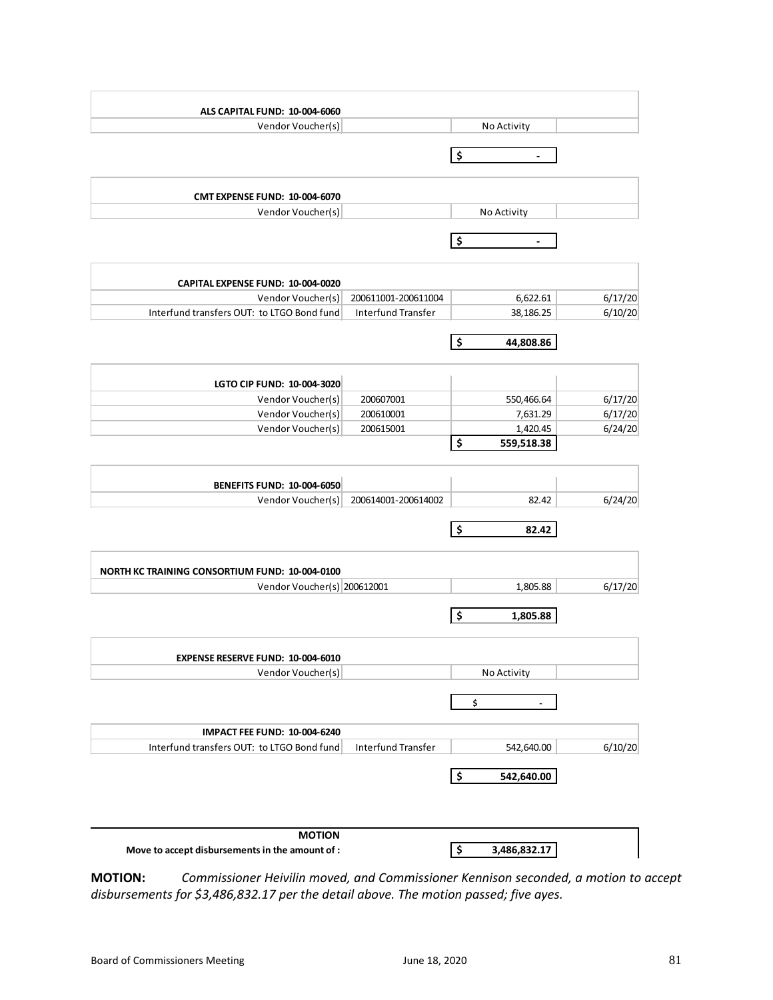| ALS CAPITAL FUND: 10-004-6060                                                        |                     |                               |         |
|--------------------------------------------------------------------------------------|---------------------|-------------------------------|---------|
| Vendor Voucher(s)                                                                    |                     | No Activity                   |         |
|                                                                                      |                     | \$                            |         |
|                                                                                      |                     |                               |         |
| <b>CMT EXPENSE FUND: 10-004-6070</b>                                                 |                     |                               |         |
| Vendor Voucher(s)                                                                    |                     | No Activity                   |         |
|                                                                                      |                     |                               |         |
|                                                                                      |                     | \$                            |         |
| CAPITAL EXPENSE FUND: 10-004-0020                                                    |                     |                               |         |
| Vendor Voucher(s)                                                                    | 200611001-200611004 | 6,622.61                      | 6/17/20 |
| Interfund transfers OUT: to LTGO Bond fund                                           | Interfund Transfer  | 38,186.25                     | 6/10/20 |
|                                                                                      |                     |                               |         |
|                                                                                      |                     | \$<br>44,808.86               |         |
|                                                                                      |                     |                               |         |
| LGTO CIP FUND: 10-004-3020<br>Vendor Voucher(s)                                      | 200607001           | 550,466.64                    | 6/17/20 |
| Vendor Voucher(s)                                                                    | 200610001           | 7,631.29                      | 6/17/20 |
| Vendor Voucher(s)                                                                    | 200615001           | 1,420.45                      | 6/24/20 |
|                                                                                      |                     | \$<br>559,518.38              |         |
|                                                                                      |                     |                               |         |
| <b>BENEFITS FUND: 10-004-6050</b>                                                    |                     |                               |         |
| Vendor Voucher(s)                                                                    | 200614001-200614002 | 82.42                         | 6/24/20 |
|                                                                                      |                     | \$<br>82.42                   |         |
|                                                                                      |                     |                               |         |
| <b>NORTH KC TRAINING CONSORTIUM FUND: 10-004-0100</b><br>Vendor Voucher(s) 200612001 |                     | 1,805.88                      | 6/17/20 |
|                                                                                      |                     |                               |         |
|                                                                                      |                     | \$<br>1,805.88                |         |
|                                                                                      |                     |                               |         |
| <b>EXPENSE RESERVE FUND: 10-004-6010</b>                                             |                     |                               |         |
| Vendor Voucher(s)                                                                    |                     | No Activity                   |         |
|                                                                                      |                     | \$                            |         |
| <b>IMPACT FEE FUND: 10-004-6240</b>                                                  |                     |                               |         |
| Interfund transfers OUT: to LTGO Bond fund                                           | Interfund Transfer  | 542,640.00                    | 6/10/20 |
|                                                                                      |                     | \$<br>542,640.00              |         |
|                                                                                      |                     |                               |         |
| <b>MOTION</b>                                                                        |                     |                               |         |
| Move to accept disbursements in the amount of :                                      |                     | $\frac{1}{2}$<br>3,486,832.17 |         |

**MOTION:** *Commissioner Heivilin moved, and Commissioner Kennison seconded, a motion to accept disbursements for \$3,486,832.17 per the detail above. The motion passed; five ayes.*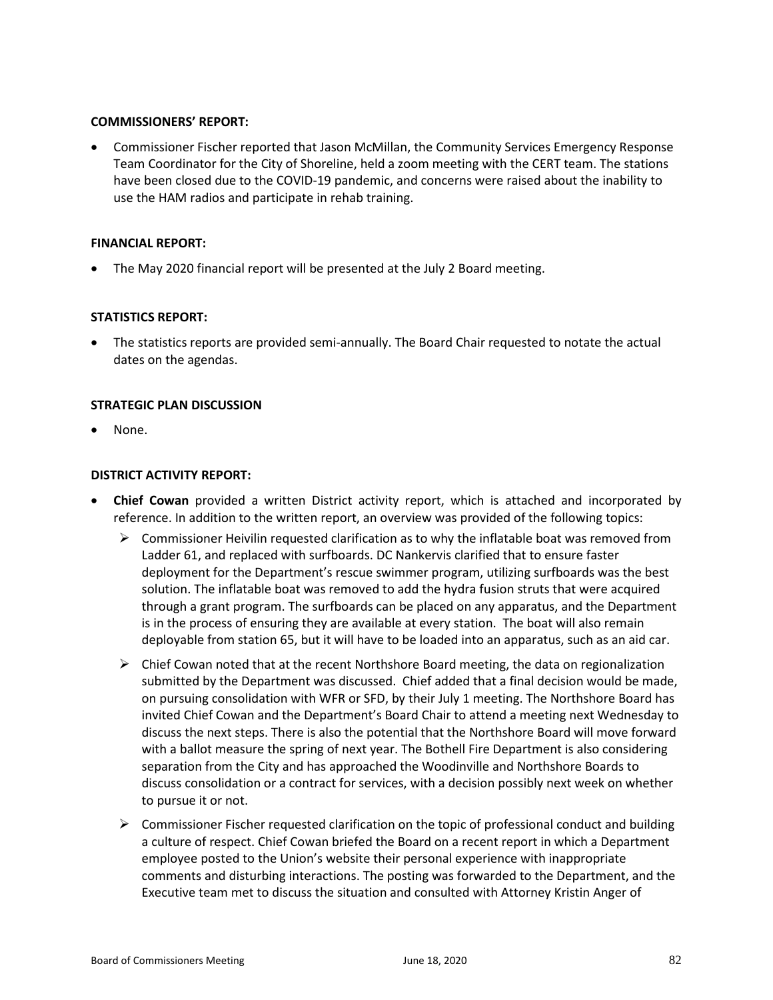## **COMMISSIONERS' REPORT:**

• Commissioner Fischer reported that Jason McMillan, the Community Services Emergency Response Team Coordinator for the City of Shoreline, held a zoom meeting with the CERT team. The stations have been closed due to the COVID-19 pandemic, and concerns were raised about the inability to use the HAM radios and participate in rehab training.

## **FINANCIAL REPORT:**

• The May 2020 financial report will be presented at the July 2 Board meeting.

## **STATISTICS REPORT:**

• The statistics reports are provided semi-annually. The Board Chair requested to notate the actual dates on the agendas.

## **STRATEGIC PLAN DISCUSSION**

None.

## **DISTRICT ACTIVITY REPORT:**

- **Chief Cowan** provided a written District activity report, which is attached and incorporated by reference. In addition to the written report, an overview was provided of the following topics:
	- $\triangleright$  Commissioner Heivilin requested clarification as to why the inflatable boat was removed from Ladder 61, and replaced with surfboards. DC Nankervis clarified that to ensure faster deployment for the Department's rescue swimmer program, utilizing surfboards was the best solution. The inflatable boat was removed to add the hydra fusion struts that were acquired through a grant program. The surfboards can be placed on any apparatus, and the Department is in the process of ensuring they are available at every station. The boat will also remain deployable from station 65, but it will have to be loaded into an apparatus, such as an aid car.
	- $\triangleright$  Chief Cowan noted that at the recent Northshore Board meeting, the data on regionalization submitted by the Department was discussed. Chief added that a final decision would be made, on pursuing consolidation with WFR or SFD, by their July 1 meeting. The Northshore Board has invited Chief Cowan and the Department's Board Chair to attend a meeting next Wednesday to discuss the next steps. There is also the potential that the Northshore Board will move forward with a ballot measure the spring of next year. The Bothell Fire Department is also considering separation from the City and has approached the Woodinville and Northshore Boards to discuss consolidation or a contract for services, with a decision possibly next week on whether to pursue it or not.
	- $\triangleright$  Commissioner Fischer requested clarification on the topic of professional conduct and building a culture of respect. Chief Cowan briefed the Board on a recent report in which a Department employee posted to the Union's website their personal experience with inappropriate comments and disturbing interactions. The posting was forwarded to the Department, and the Executive team met to discuss the situation and consulted with Attorney Kristin Anger of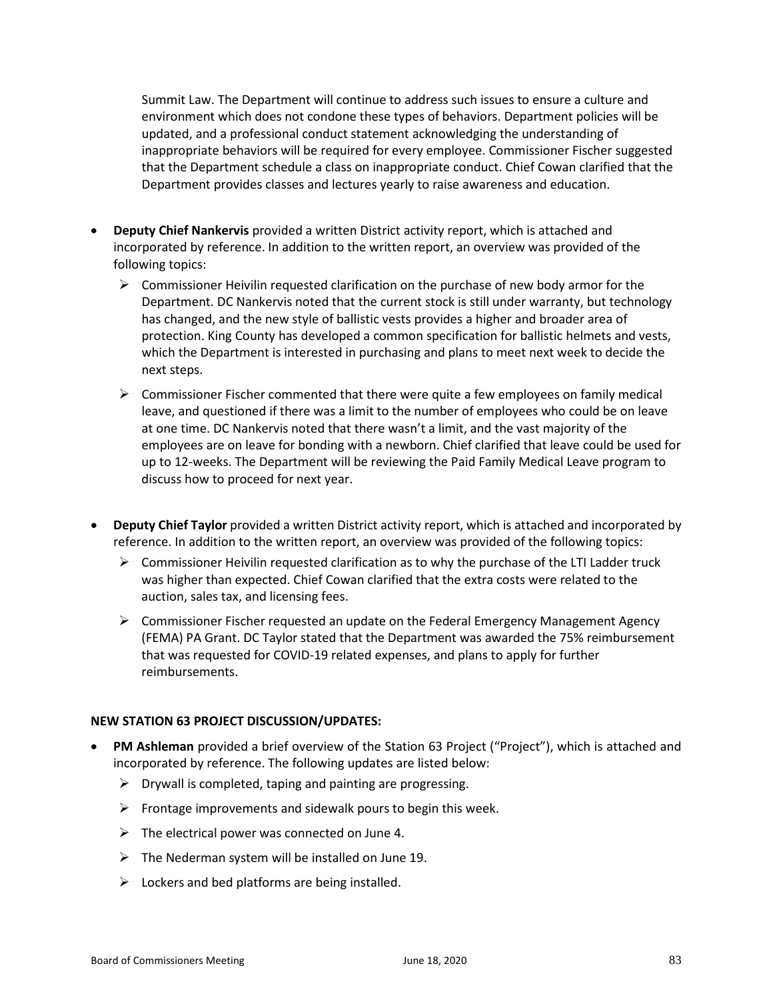Summit Law. The Department will continue to address such issues to ensure a culture and environment which does not condone these types of behaviors. Department policies will be updated, and a professional conduct statement acknowledging the understanding of inappropriate behaviors will be required for every employee. Commissioner Fischer suggested that the Department schedule a class on inappropriate conduct. Chief Cowan clarified that the Department provides classes and lectures yearly to raise awareness and education.

- **Deputy Chief Nankervis** provided a written District activity report, which is attached and incorporated by reference. In addition to the written report, an overview was provided of the following topics:
	- $\triangleright$  Commissioner Heivilin requested clarification on the purchase of new body armor for the Department. DC Nankervis noted that the current stock is still under warranty, but technology has changed, and the new style of ballistic vests provides a higher and broader area of protection. King County has developed a common specification for ballistic helmets and vests, which the Department is interested in purchasing and plans to meet next week to decide the next steps.
	- $\triangleright$  Commissioner Fischer commented that there were quite a few employees on family medical leave, and questioned if there was a limit to the number of employees who could be on leave at one time. DC Nankervis noted that there wasn't a limit, and the vast majority of the employees are on leave for bonding with a newborn. Chief clarified that leave could be used for up to 12-weeks. The Department will be reviewing the Paid Family Medical Leave program to discuss how to proceed for next year.
- **Deputy Chief Taylor** provided a written District activity report, which is attached and incorporated by reference. In addition to the written report, an overview was provided of the following topics:
	- $\triangleright$  Commissioner Heivilin requested clarification as to why the purchase of the LTI Ladder truck was higher than expected. Chief Cowan clarified that the extra costs were related to the auction, sales tax, and licensing fees.
	- Commissioner Fischer requested an update on the Federal Emergency Management Agency (FEMA) PA Grant. DC Taylor stated that the Department was awarded the 75% reimbursement that was requested for COVID-19 related expenses, and plans to apply for further reimbursements.

## **NEW STATION 63 PROJECT DISCUSSION/UPDATES:**

- **PM Ashleman** provided a brief overview of the Station 63 Project ("Project"), which is attached and incorporated by reference. The following updates are listed below:
	- $\triangleright$  Drywall is completed, taping and painting are progressing.
	- $\triangleright$  Frontage improvements and sidewalk pours to begin this week.
	- $\triangleright$  The electrical power was connected on June 4.
	- $\triangleright$  The Nederman system will be installed on June 19.
	- $\triangleright$  Lockers and bed platforms are being installed.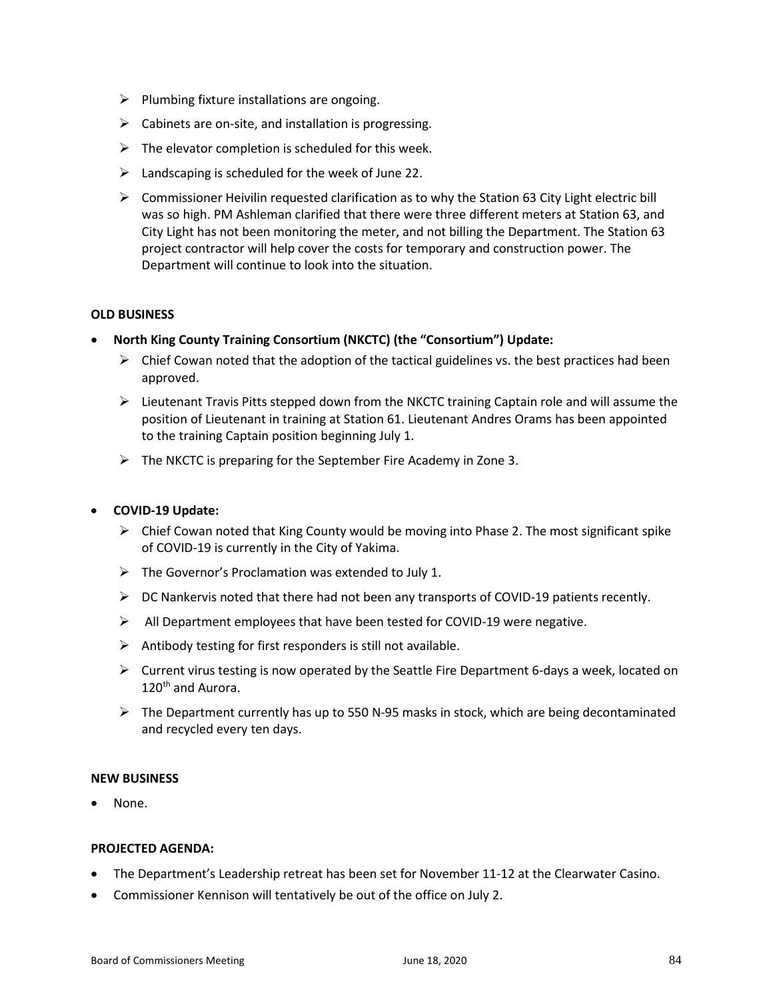- $\triangleright$  Plumbing fixture installations are ongoing.
- $\triangleright$  Cabinets are on-site, and installation is progressing.
- $\triangleright$  The elevator completion is scheduled for this week.
- $\triangleright$  Landscaping is scheduled for the week of June 22.
- $\triangleright$  Commissioner Heivilin requested clarification as to why the Station 63 City Light electric bill was so high. PM Ashleman clarified that there were three different meters at Station 63, and City Light has not been monitoring the meter, and not billing the Department. The Station 63 project contractor will help cover the costs for temporary and construction power. The Department will continue to look into the situation.

## **OLD BUSINESS**

- **North King County Training Consortium (NKCTC) (the "Consortium") Update:**
	- $\triangleright$  Chief Cowan noted that the adoption of the tactical guidelines vs. the best practices had been approved.
	- $\triangleright$  Lieutenant Travis Pitts stepped down from the NKCTC training Captain role and will assume the position of Lieutenant in training at Station 61. Lieutenant Andres Orams has been appointed to the training Captain position beginning July 1.
	- $\triangleright$  The NKCTC is preparing for the September Fire Academy in Zone 3.

## • **COVID-19 Update:**

- $\triangleright$  Chief Cowan noted that King County would be moving into Phase 2. The most significant spike of COVID-19 is currently in the City of Yakima.
- $\triangleright$  The Governor's Proclamation was extended to July 1.
- $\triangleright$  DC Nankervis noted that there had not been any transports of COVID-19 patients recently.
- $\triangleright$  All Department employees that have been tested for COVID-19 were negative.
- $\triangleright$  Antibody testing for first responders is still not available.
- $\triangleright$  Current virus testing is now operated by the Seattle Fire Department 6-days a week, located on 120th and Aurora.
- $\triangleright$  The Department currently has up to 550 N-95 masks in stock, which are being decontaminated and recycled every ten days.

## **NEW BUSINESS**

None.

## **PROJECTED AGENDA:**

- The Department's Leadership retreat has been set for November 11-12 at the Clearwater Casino.
- Commissioner Kennison will tentatively be out of the office on July 2.